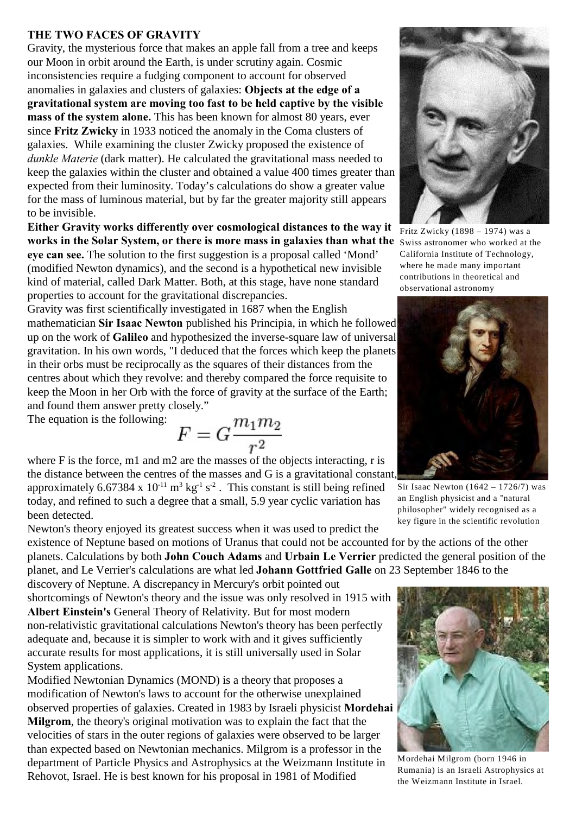## **THE TWO FACES OF GRAVITY**

Gravity, the mysterious force that makes an apple fall from a tree and keeps our Moon in orbit around the Earth, is under scrutiny again. Cosmic inconsistencies require a fudging component to account for observed anomalies in galaxies and clusters of galaxies: **Objects at the edge of a gravitational system are moving too fast to be held captive by the visible mass of the system alone.** This has been known for almost 80 years, ever since **Fritz Zwicky** in 1933 noticed the anomaly in the Coma clusters of galaxies. While examining the cluster Zwicky proposed the existence of *dunkle Materie* (dark matter). He calculated the gravitational mass needed to keep the galaxies within the cluster and obtained a value 400 times greater than expected from their luminosity. Today's calculations do show a greater value for the mass of luminous material, but by far the greater majority still appears to be invisible.

**Either Gravity works differently over cosmological distances to the way it works in the Solar System, or there is more mass in galaxies than what the** Swiss astronomer who worked at the **eye can see.** The solution to the first suggestion is a proposal called 'Mond' (modified Newton dynamics), and the second is a hypothetical new invisible kind of material, called Dark Matter. Both, at this stage, have none standard properties to account for the gravitational discrepancies.

Gravity was first scientifically investigated in 1687 when the English mathematician **Sir Isaac Newton** published his Principia, in which he followed up on the work of **Galileo** and hypothesized the inverse-square law of universal gravitation. In his own words, "I deduced that the forces which keep the planets in their orbs must be reciprocally as the squares of their distances from the centres about which they revolve: and thereby compared the force requisite to keep the Moon in her Orb with the force of gravity at the surface of the Earth; and found them answer pretty closely."

The equation is the following:

$$
F = G \frac{m_1 m_2}{r^2}
$$

where F is the force, m1 and m2 are the masses of the objects interacting, r is the distance between the centres of the masses and G is a gravitational constant, approximately 6.67384 x  $10^{-11}$  m<sup>3</sup> kg<sup>-1</sup> s<sup>-2</sup>. This constant is still being refined

today, and refined to such a degree that a small, 5.9 year cyclic variation has been detected.

Newton's theory enjoyed its greatest success when it was used to predict the existence of Neptune based on motions of Uranus that could not be accounted for by the actions of the other planets. Calculations by both **John Couch Adams** and **Urbain Le Verrier** predicted the general position of the planet, and Le Verrier's calculations are what led **Johann Gottfried Galle** on 23 September 1846 to the

discovery of Neptune. A discrepancy in Mercury's orbit pointed out shortcomings of Newton's theory and the issue was only resolved in 1915 with **Albert Einstein's** General Theory of Relativity. But for most modern non-relativistic gravitational calculations Newton's theory has been perfectly adequate and, because it is simpler to work with and it gives sufficiently accurate results for most applications, it is still universally used in Solar System applications.

Modified Newtonian Dynamics (MOND) is a theory that proposes a modification of Newton's laws to account for the otherwise unexplained observed properties of galaxies. Created in 1983 by Israeli physicist **Mordehai Milgrom**, the theory's original motivation was to explain the fact that the velocities of stars in the outer regions of galaxies were observed to be larger than expected based on Newtonian mechanics. Milgrom is a professor in the department of Particle Physics and Astrophysics at the Weizmann Institute in Rehovot, Israel. He is best known for his proposal in 1981 of Modified



Fritz Zwicky (1898 – 1974) was a California Institute of Technology, where he made many important contributions in theoretical and observational astronomy



Sir Isaac Newton (1642 – 1726/7) was an English physicist and a "natural philosopher" widely recognised as a key figure in the scientific revolution



Mordehai Milgrom (born 1946 in Rumania) is an Israeli Astrophysics at the Weizmann Institute in Israel.